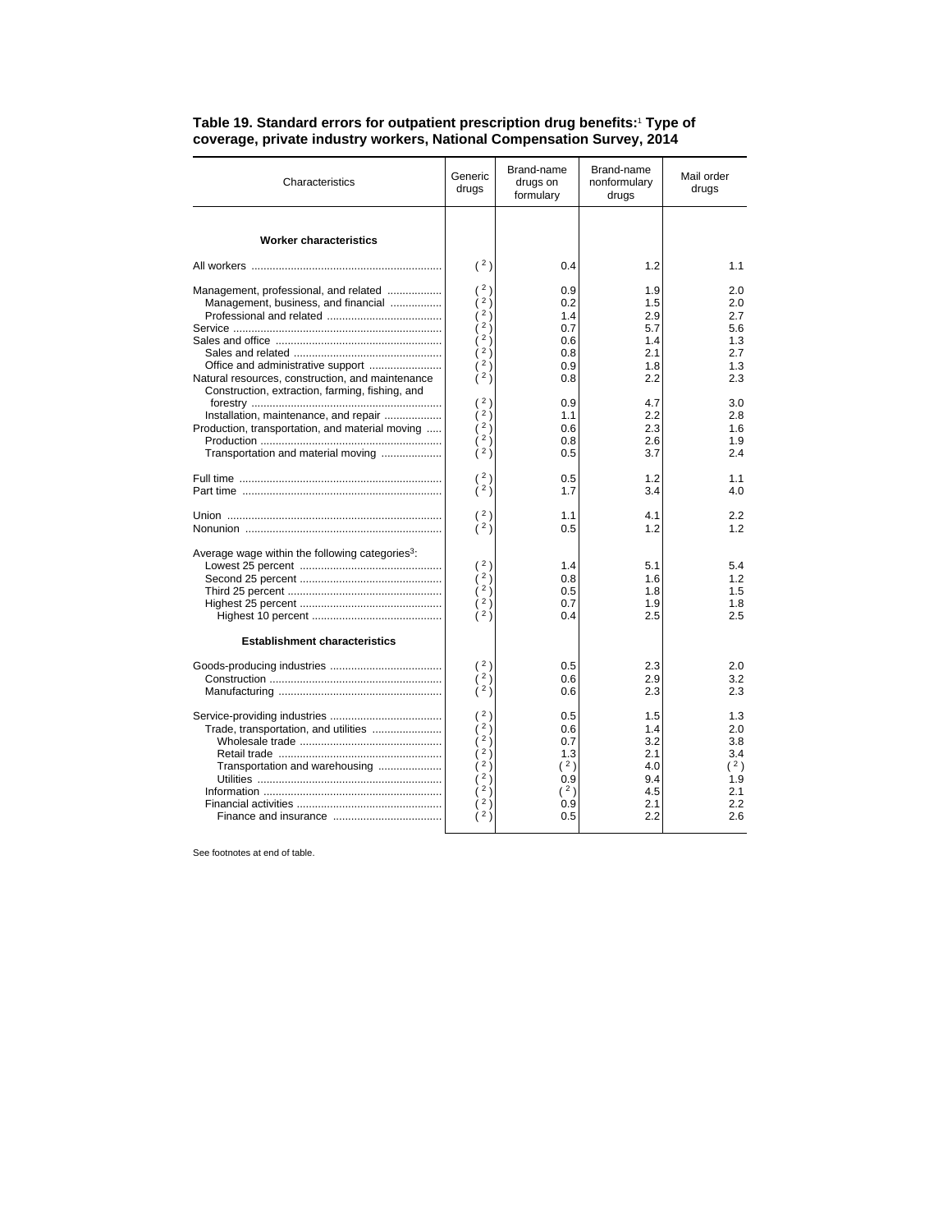| Characteristics                                             | Generic<br>drugs | Brand-name<br>drugs on<br>formulary | Brand-name<br>nonformulary<br>drugs | Mail order<br>drugs |
|-------------------------------------------------------------|------------------|-------------------------------------|-------------------------------------|---------------------|
|                                                             |                  |                                     |                                     |                     |
| <b>Worker characteristics</b>                               |                  |                                     |                                     |                     |
|                                                             | (2)              | 0.4                                 | 1.2                                 | 1.1                 |
| Management, professional, and related                       | 2)               | 0.9                                 | 1.9                                 | 2.0                 |
| Management, business, and financial                         | 2j               | 0.2                                 | 1.5                                 | 2.0                 |
|                                                             | 2j               | 1.4                                 | 2.9                                 | 2.7                 |
|                                                             | $2 \frac{1}{2}$  | 0.7                                 | 5.7                                 | 5.6                 |
|                                                             | $2 \choose 1$    | 0.6                                 | 1.4                                 | 1.3                 |
|                                                             | 2)               | 0.8                                 | 2.1                                 | 2.7                 |
|                                                             | 2)               | 0.9                                 | 1.8                                 | 1.3                 |
| Natural resources, construction, and maintenance            | 2j               | 0.8                                 | 2.2                                 | 2.3                 |
| Construction, extraction, farming, fishing, and             |                  |                                     |                                     |                     |
|                                                             | (2)              | 0.9                                 | 4.7                                 | 3.0                 |
| Installation, maintenance, and repair                       | 2j               | 1.1                                 | 2.2                                 | 2.8                 |
| Production, transportation, and material moving             | $2 \frac{1}{2}$  | 0.6                                 | 2.3                                 | 1.6                 |
|                                                             | 2j               | 0.8                                 | 2.6                                 | 1.9                 |
| Transportation and material moving                          | 2)               | 0.5                                 | 3.7                                 | 24                  |
|                                                             | 2)               | 0.5                                 | 1.2                                 | 1.1                 |
|                                                             | 2j               | 1.7                                 | 3.4                                 | 4.0                 |
|                                                             |                  |                                     |                                     |                     |
|                                                             | (2)<br>(2)       | 1.1                                 | 4.1                                 | 2.2                 |
|                                                             |                  | 0.5                                 | 1.2                                 | 1.2                 |
| Average wage within the following categories <sup>3</sup> : |                  |                                     |                                     |                     |
|                                                             | (2)              | 1.4                                 | 5.1                                 | 5.4                 |
|                                                             | 2j               | 0.8                                 | 1.6                                 | 1.2                 |
|                                                             | 2j               | 0.5                                 | 1.8                                 | 1.5                 |
|                                                             | $2 \frac{1}{2}$  | 0.7                                 | 1.9                                 | 1.8                 |
|                                                             | 2j               | 0.4                                 | 2.5                                 | 2.5                 |
| <b>Establishment characteristics</b>                        |                  |                                     |                                     |                     |
|                                                             | 2)               | 0.5                                 | 2.3                                 | 2.0                 |
|                                                             | 2j               | 0.6                                 | 2.9                                 | 3.2                 |
|                                                             | (2)              | 0.6                                 | 2.3                                 | 2.3                 |
|                                                             | 2)               | 0.5                                 | 1.5                                 | 1.3                 |
| Trade, transportation, and utilities                        | 2j               | 0.6                                 | 1.4                                 | 2.0                 |
|                                                             | 2j               | 0.7                                 | 3.2                                 | 3.8                 |
|                                                             | 2)               | 1.3                                 | 2.1                                 | 3.4                 |
| Transportation and warehousing                              | $2 \frac{1}{2}$  | (2)                                 | 4.0                                 | (2)                 |
|                                                             | 2j               | 0.9                                 | 9.4                                 | 1.9                 |
|                                                             | $2 \frac{1}{2}$  | (2)                                 | 4.5                                 | 2.1                 |
|                                                             | 2)               | 0.9                                 | 2.1                                 | 2.2                 |
|                                                             | 2)               | 0.5                                 | 2.2                                 | 2.6                 |
|                                                             |                  |                                     |                                     |                     |

## **Table 19. Standard errors for outpatient prescription drug benefits:**<sup>1</sup>  **Type of coverage, private industry workers, National Compensation Survey, 2014**

See footnotes at end of table.